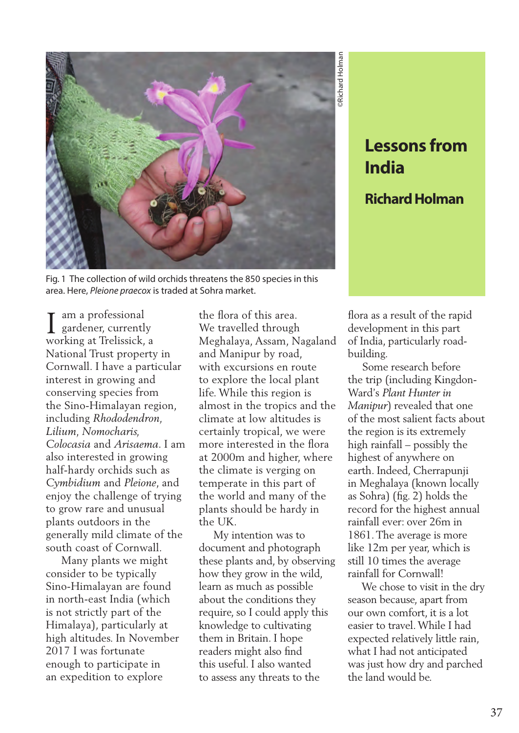

Fig. 1 The collection of wild orchids threatens the 850 species in this area. Here, *Pleione praecox* is traded at Sohra market.

am a professional gardener, currently I am a professional<br>gardener, currently<br>working at Trelissick, a National Trust property in Cornwall. I have a particular interest in growing and conserving species from the Sino-Himalayan region, including *Rhododendron, Lilium, Nomocharis, Colocasia* and *Arisaema*. I am also interested in growing half-hardy orchids such as *Cymbidium* and *Pleione*, and enjoy the challenge of trying to grow rare and unusual plants outdoors in the generally mild climate of the south coast of Cornwall.

 Many plants we might consider to be typically Sino-Himalayan are found in north-east India (which is not strictly part of the Himalaya), particularly at high altitudes. In November 2017 I was fortunate enough to participate in an expedition to explore

the flora of this area. We travelled through Meghalaya, Assam, Nagaland and Manipur by road, with excursions en route to explore the local plant life. While this region is almost in the tropics and the climate at low altitudes is certainly tropical, we were more interested in the flora at 2000m and higher, where the climate is verging on temperate in this part of the world and many of the plants should be hardy in the UK.

 My intention was to document and photograph these plants and, by observing how they grow in the wild, learn as much as possible about the conditions they require, so I could apply this knowledge to cultivating them in Britain. I hope readers might also find this useful. I also wanted to assess any threats to the

## **India Richard Holman**

flora as a result of the rapid development in this part of India, particularly roadbuilding.

**Lessons from**<br> **India**<br> **Richard Holman**<br> **Richard Holman**<br> **Richard Holman**<br> **Richard Holman**<br> **Example 1**<br> **Example 1**<br> **Example 1**<br> **Example 1**<br> **Example 1**<br> **Example 1**<br> **Example 1**<br> **Example 1**<br> **Example 1**<br> **Example**  Some research before the trip (including Kingdon-Ward's *Plant Hunter in Manipur*) revealed that one of the most salient facts about the region is its extremely high rainfall – possibly the highest of anywhere on earth. Indeed, Cherrapunji in Meghalaya (known locally as Sohra) (fig. 2) holds the record for the highest annual rainfall ever: over 26m in 1861. The average is more like 12m per year, which is still 10 times the average rainfall for Cornwall!

 We chose to visit in the dry season because, apart from our own comfort, it is a lot easier to travel. While I had expected relatively little rain, what I had not anticipated was just how dry and parched the land would be.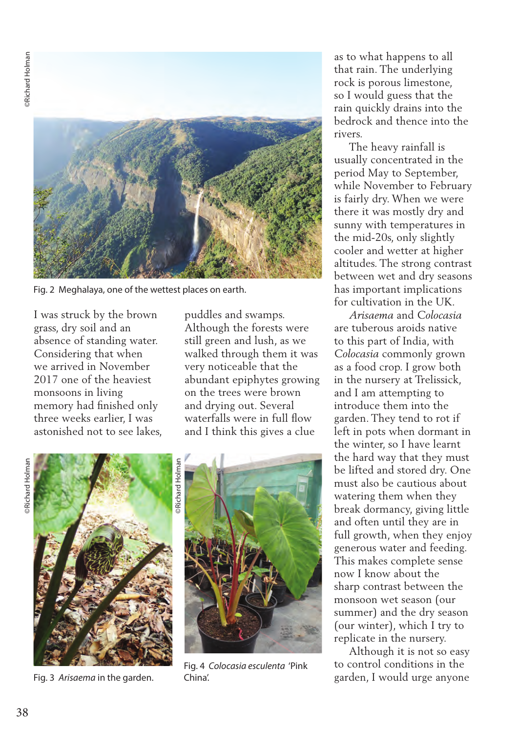

Fig. 2 Meghalaya, one of the wettest places on earth.

I was struck by the brown grass, dry soil and an absence of standing water. Considering that when we arrived in November 2017 one of the heaviest monsoons in living memory had finished only three weeks earlier, I was astonished not to see lakes, puddles and swamps. Although the forests were still green and lush, as we walked through them it was very noticeable that the abundant epiphytes growing on the trees were brown and drying out. Several waterfalls were in full flow and I think this gives a clue

**PRichard Holman** ©Richard Holman



Fig. 3 *Arisaema* in the garden.



Fig. 4 *Colocasia esculenta* 'Pink China'.

as to what happens to all that rain. The underlying rock is porous limestone, so I would guess that the rain quickly drains into the bedrock and thence into the rivers.

 The heavy rainfall is usually concentrated in the period May to September, while November to February is fairly dry. When we were there it was mostly dry and sunny with temperatures in the mid-20s, only slightly cooler and wetter at higher altitudes. The strong contrast between wet and dry seasons has important implications for cultivation in the UK.

 *Arisaema* and *Colocasia*  are tuberous aroids native to this part of India, with *Colocasia* commonly grown as a food crop. I grow both in the nursery at Trelissick, and I am attempting to introduce them into the garden. They tend to rot if left in pots when dormant in the winter, so I have learnt the hard way that they must be lifted and stored dry. One must also be cautious about watering them when they break dormancy, giving little and often until they are in full growth, when they enjoy generous water and feeding. This makes complete sense now I know about the sharp contrast between the monsoon wet season (our summer) and the dry season (our winter), which I try to replicate in the nursery.

 Although it is not so easy to control conditions in the garden, I would urge anyone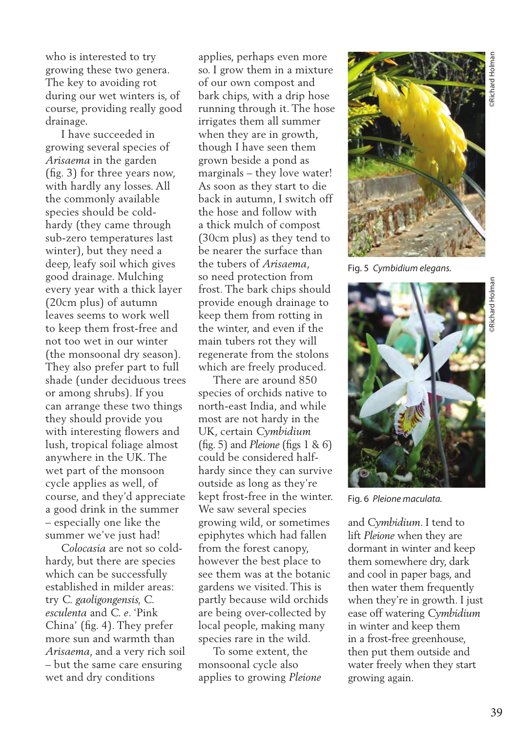who is interested to try growing these two genera. The key to avoiding rot during our wet winters is, of course, providing really good drainage.

 I have succeeded in growing several species of *Arisaema* in the garden (fig. 3) for three years now, with hardly any losses. All the commonly available species should be coldhardy (they came through sub-zero temperatures last winter), but they need a deep, leafy soil which gives good drainage. Mulching every year with a thick layer (20cm plus) of autumn leaves seems to work well to keep them frost-free and not too wet in our winter (the monsoonal dry season). They also prefer part to full shade (under deciduous trees or among shrubs). If you can arrange these two things they should provide you with interesting flowers and lush, tropical foliage almost anywhere in the UK. The wet part of the monsoon cycle applies as well, of course, and they'd appreciate a good drink in the summer – especially one like the summer we've just had!

 *Colocasia* are not so coldhardy, but there are species which can be successfully established in milder areas: try *C. gaoligongensis, C. esculenta* and *C. e*. 'Pink China' (fig. 4). They prefer more sun and warmth than *Arisaema*, and a very rich soil – but the same care ensuring wet and dry conditions

applies, perhaps even more so. I grow them in a mixture of our own compost and bark chips, with a drip hose running through it. The hose irrigates them all summer when they are in growth, though I have seen them grown beside a pond as marginals – they love water! As soon as they start to die back in autumn, I switch off the hose and follow with a thick mulch of compost (30cm plus) as they tend to be nearer the surface than the tubers of *Arisaema*, so need protection from frost. The bark chips should provide enough drainage to keep them from rotting in the winter, and even if the main tubers rot they will regenerate from the stolons which are freely produced.

 There are around 850 species of orchids native to north-east India, and while most are not hardy in the UK, certain *Cymbidium* (fig. 5) and *Pleione* (figs 1 & 6) could be considered halfhardy since they can survive outside as long as they're kept frost-free in the winter. We saw several species growing wild, or sometimes epiphytes which had fallen from the forest canopy, however the best place to see them was at the botanic gardens we visited. This is partly because wild orchids are being over-collected by local people, making many species rare in the wild.

 To some extent, the monsoonal cycle also applies to growing *Pleione* 



Fig. 5 *Cymbidium elegans.*



Fig. 6 *Pleione maculata.*

and *Cymbidium*. I tend to lift *Pleione* when they are dormant in winter and keep them somewhere dry, dark and cool in paper bags, and then water them frequently when they're in growth. I just ease off watering *Cymbidium* in winter and keep them in a frost-free greenhouse, then put them outside and water freely when they start growing again.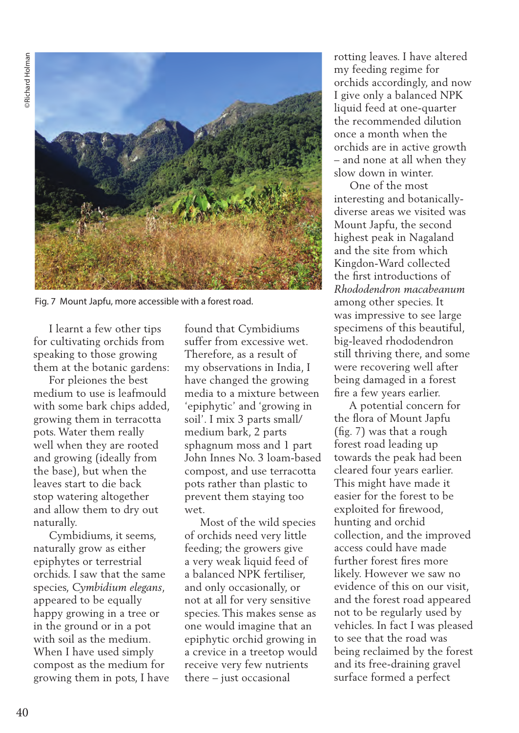**PRichard Holman** ©Richard Holman



Fig. 7 Mount Japfu, more accessible with a forest road.

 I learnt a few other tips for cultivating orchids from speaking to those growing them at the botanic gardens:

 For pleiones the best medium to use is leafmould with some bark chips added, growing them in terracotta pots. Water them really well when they are rooted and growing (ideally from the base), but when the leaves start to die back stop watering altogether and allow them to dry out naturally.

 Cymbidiums, it seems, naturally grow as either epiphytes or terrestrial orchids. I saw that the same species, *Cymbidium elegans*, appeared to be equally happy growing in a tree or in the ground or in a pot with soil as the medium. When I have used simply compost as the medium for growing them in pots, I have found that Cymbidiums suffer from excessive wet. Therefore, as a result of my observations in India, I have changed the growing media to a mixture between 'epiphytic' and 'growing in soil'. I mix 3 parts small/ medium bark, 2 parts sphagnum moss and 1 part John Innes No. 3 loam-based compost, and use terracotta pots rather than plastic to prevent them staying too wet.

 Most of the wild species of orchids need very little feeding; the growers give a very weak liquid feed of a balanced NPK fertiliser, and only occasionally, or not at all for very sensitive species. This makes sense as one would imagine that an epiphytic orchid growing in a crevice in a treetop would receive very few nutrients there – just occasional

rotting leaves. I have altered my feeding regime for orchids accordingly, and now I give only a balanced NPK liquid feed at one-quarter the recommended dilution once a month when the orchids are in active growth – and none at all when they slow down in winter.

 One of the most interesting and botanicallydiverse areas we visited was Mount Japfu, the second highest peak in Nagaland and the site from which Kingdon-Ward collected the first introductions of *Rhododendron macabeanum* among other species. It was impressive to see large specimens of this beautiful, big-leaved rhododendron still thriving there, and some were recovering well after being damaged in a forest fire a few years earlier.

 A potential concern for the flora of Mount Japfu (fig. 7) was that a rough forest road leading up towards the peak had been cleared four years earlier. This might have made it easier for the forest to be exploited for firewood, hunting and orchid collection, and the improved access could have made further forest fires more likely. However we saw no evidence of this on our visit, and the forest road appeared not to be regularly used by vehicles. In fact I was pleased to see that the road was being reclaimed by the forest and its free-draining gravel surface formed a perfect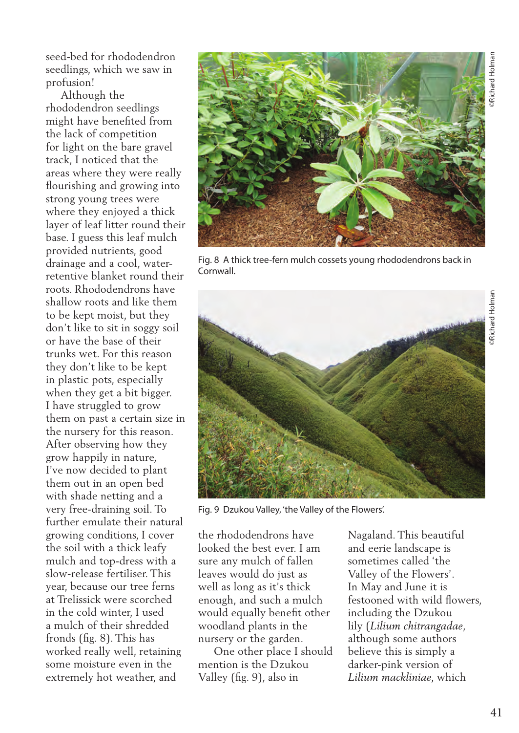©Richard Holman Richard Holmar

seed-bed for rhododendron seedlings, which we saw in profusion!

 Although the rhododendron seedlings might have benefited from the lack of competition for light on the bare gravel track, I noticed that the areas where they were really flourishing and growing into strong young trees were where they enjoyed a thick layer of leaf litter round their base. I guess this leaf mulch provided nutrients, good drainage and a cool, waterretentive blanket round their roots. Rhododendrons have shallow roots and like them to be kept moist, but they don't like to sit in soggy soil or have the base of their trunks wet. For this reason they don't like to be kept in plastic pots, especially when they get a bit bigger. I have struggled to grow them on past a certain size in the nursery for this reason. After observing how they grow happily in nature, I've now decided to plant them out in an open bed with shade netting and a very free-draining soil. To further emulate their natural growing conditions, I cover the soil with a thick leafy mulch and top-dress with a slow-release fertiliser. This year, because our tree ferns at Trelissick were scorched in the cold winter, I used a mulch of their shredded fronds (fig. 8). This has worked really well, retaining some moisture even in the extremely hot weather, and



Fig. 8 A thick tree-fern mulch cossets young rhododendrons back in **Cornwall** 



Fig. 9 Dzukou Valley, 'the Valley of the Flowers'.

the rhododendrons have looked the best ever. I am sure any mulch of fallen leaves would do just as well as long as it's thick enough, and such a mulch would equally benefit other woodland plants in the nursery or the garden.

 One other place I should mention is the Dzukou Valley (fig. 9), also in

Nagaland. This beautiful and eerie landscape is sometimes called 'the Valley of the Flowers'. In May and June it is festooned with wild flowers, including the Dzukou lily (*Lilium chitrangadae*, although some authors believe this is simply a darker-pink version of *Lilium mackliniae*, which